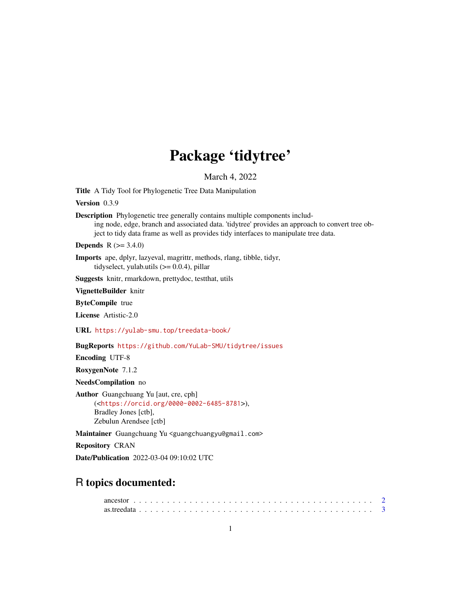# Package 'tidytree'

March 4, 2022

Title A Tidy Tool for Phylogenetic Tree Data Manipulation

Version 0.3.9

Description Phylogenetic tree generally contains multiple components including node, edge, branch and associated data. 'tidytree' provides an approach to convert tree object to tidy data frame as well as provides tidy interfaces to manipulate tree data.

**Depends**  $R (= 3.4.0)$ 

Imports ape, dplyr, lazyeval, magrittr, methods, rlang, tibble, tidyr, tidyselect, yulab.utils  $(>= 0.0.4)$ , pillar

Suggests knitr, rmarkdown, prettydoc, testthat, utils

VignetteBuilder knitr

ByteCompile true

License Artistic-2.0

URL <https://yulab-smu.top/treedata-book/>

BugReports <https://github.com/YuLab-SMU/tidytree/issues>

Encoding UTF-8

RoxygenNote 7.1.2

NeedsCompilation no

Author Guangchuang Yu [aut, cre, cph] (<<https://orcid.org/0000-0002-6485-8781>>), Bradley Jones [ctb], Zebulun Arendsee [ctb]

Maintainer Guangchuang Yu <guangchuangyu@gmail.com>

Repository CRAN

Date/Publication 2022-03-04 09:10:02 UTC

# R topics documented: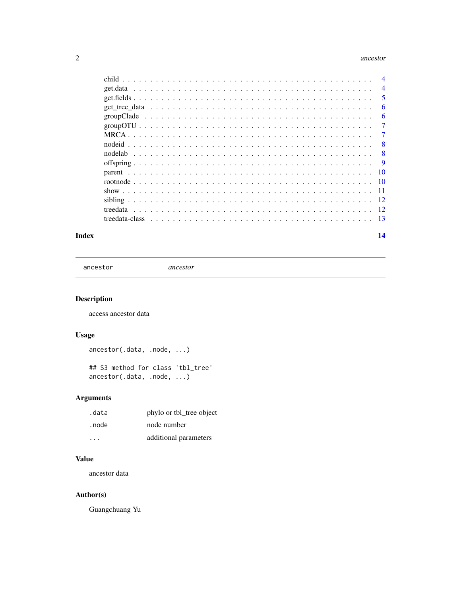#### <span id="page-1-0"></span>2 ancestor and  $\alpha$  ancestor and  $\alpha$  ancestor and  $\alpha$  ancestor and  $\alpha$  ancestor

|  | $\overline{4}$ |
|--|----------------|
|  | -5             |
|  | 6              |
|  | 6              |
|  | $\overline{7}$ |
|  | 7              |
|  | -8             |
|  | 8              |
|  | -9             |
|  | $\sqrt{10}$    |
|  |                |
|  |                |
|  |                |
|  |                |
|  |                |
|  |                |

#### **Index** 2008 **[14](#page-13-0)**

ancestor *ancestor*

# Description

access ancestor data

# Usage

ancestor(.data, .node, ...)

```
## S3 method for class 'tbl_tree'
ancestor(.data, .node, ...)
```
# Arguments

| .data                   | phylo or tbl_tree object |
|-------------------------|--------------------------|
| . node                  | node number              |
| $\cdot$ $\cdot$ $\cdot$ | additional parameters    |

# Value

ancestor data

#### Author(s)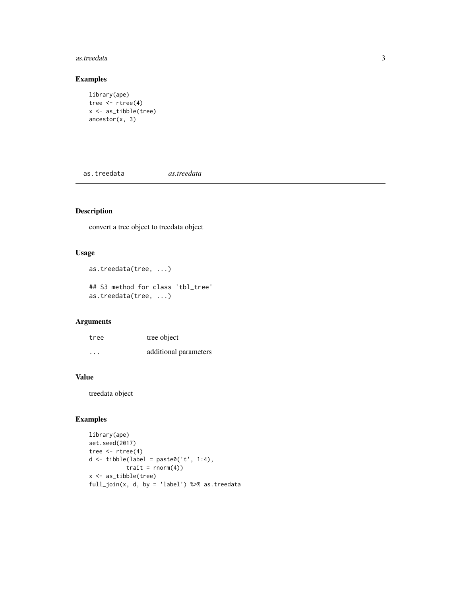#### <span id="page-2-0"></span>as.treedata 3

#### Examples

```
library(ape)
tree <- rtree(4)
x <- as_tibble(tree)
ancestor(x, 3)
```
as.treedata *as.treedata*

# Description

convert a tree object to treedata object

#### Usage

```
as.treedata(tree, ...)
```
## S3 method for class 'tbl\_tree' as.treedata(tree, ...)

#### Arguments

| tree     | tree object           |
|----------|-----------------------|
| $\cdots$ | additional parameters |

#### Value

treedata object

#### Examples

```
library(ape)
set.seed(2017)
tree <- rtree(4)
d <- tibble(label = paste0('t', 1:4),
          train = rnorm(4)x <- as_tibble(tree)
full_join(x, d, by = 'label') %>% as.treedata
```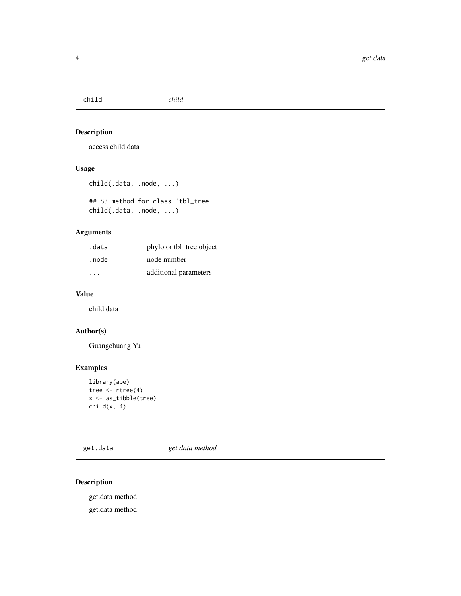<span id="page-3-0"></span>child *child*

#### Description

access child data

#### Usage

```
child(.data, .node, ...)
```
## S3 method for class 'tbl\_tree' child(.data, .node, ...)

#### Arguments

| .data                   | phylo or tbl_tree object |
|-------------------------|--------------------------|
| . node                  | node number              |
| $\cdot$ $\cdot$ $\cdot$ | additional parameters    |

# Value

child data

# Author(s)

Guangchuang Yu

# Examples

```
library(ape)
tree <- rtree(4)
x <- as_tibble(tree)
child(x, 4)
```
get.data *get.data method*

# Description

get.data method get.data method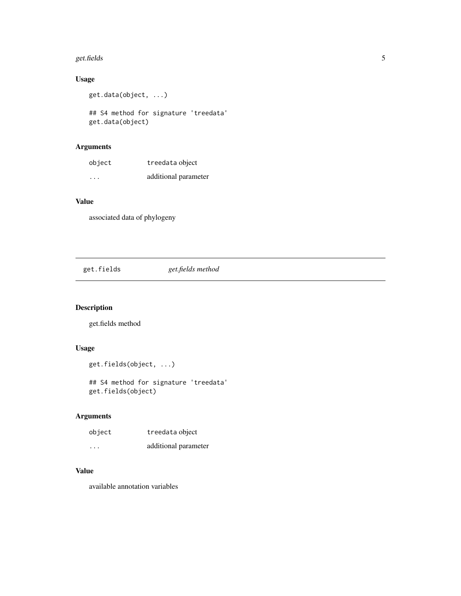#### <span id="page-4-0"></span>get.fields 5

# Usage

get.data(object, ...)

## S4 method for signature 'treedata' get.data(object)

#### Arguments

| object  | treedata object      |
|---------|----------------------|
| $\cdot$ | additional parameter |

#### Value

associated data of phylogeny

# get.fields *get.fields method*

# Description

get.fields method

# Usage

```
get.fields(object, ...)
```
## S4 method for signature 'treedata' get.fields(object)

# Arguments

| object | treedata object      |
|--------|----------------------|
| .      | additional parameter |

#### Value

available annotation variables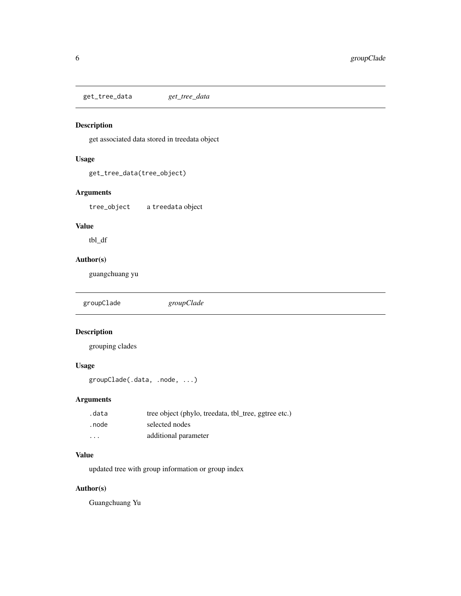<span id="page-5-0"></span>get\_tree\_data *get\_tree\_data*

#### Description

get associated data stored in treedata object

#### Usage

```
get_tree_data(tree_object)
```
#### Arguments

tree\_object a treedata object

#### Value

tbl\_df

#### Author(s)

guangchuang yu

groupClade *groupClade*

# Description

grouping clades

#### Usage

groupClade(.data, .node, ...)

#### Arguments

| .data    | tree object (phylo, treedata, tbl_tree, ggtree etc.) |
|----------|------------------------------------------------------|
| . node   | selected nodes                                       |
| $\cdots$ | additional parameter                                 |

#### Value

updated tree with group information or group index

# Author(s)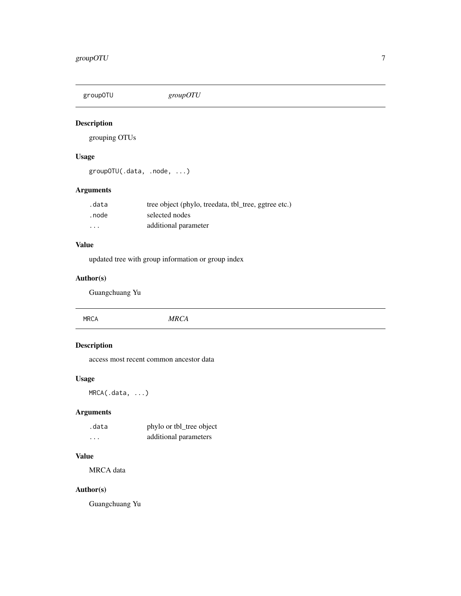<span id="page-6-0"></span>

#### Description

grouping OTUs

#### Usage

groupOTU(.data, .node, ...)

# Arguments

| .data                   | tree object (phylo, treedata, tbl_tree, ggtree etc.) |
|-------------------------|------------------------------------------------------|
| . node                  | selected nodes                                       |
| $\cdot$ $\cdot$ $\cdot$ | additional parameter                                 |

# Value

updated tree with group information or group index

# Author(s)

Guangchuang Yu

| <b>MRCA</b> | <b>MRCA</b> |  |
|-------------|-------------|--|
|             |             |  |

# Description

access most recent common ancestor data

#### Usage

MRCA(.data, ...)

# Arguments

| .data    | phylo or tbl_tree object |
|----------|--------------------------|
| $\cdots$ | additional parameters    |

#### Value

MRCA data

#### Author(s)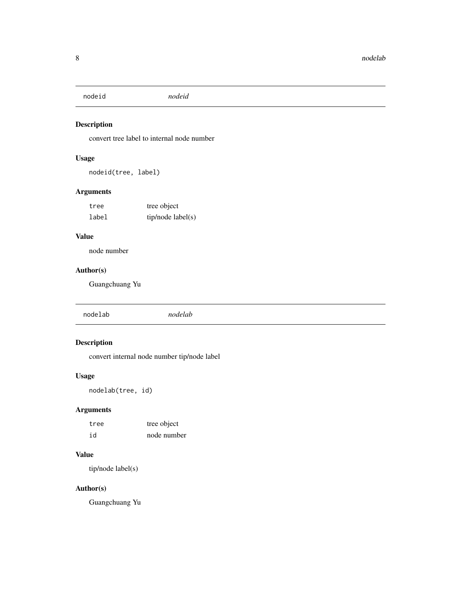<span id="page-7-0"></span>nodeid *nodeid*

# Description

convert tree label to internal node number

# Usage

nodeid(tree, label)

# Arguments

| tree  | tree object       |
|-------|-------------------|
| label | tip/node label(s) |

# Value

node number

#### Author(s)

Guangchuang Yu

| nodelab |
|---------|
|---------|

# Description

convert internal node number tip/node label

#### Usage

nodelab(tree, id)

# Arguments

| tree | tree object |  |
|------|-------------|--|
| id   | node number |  |

#### Value

tip/node label(s)

# Author(s)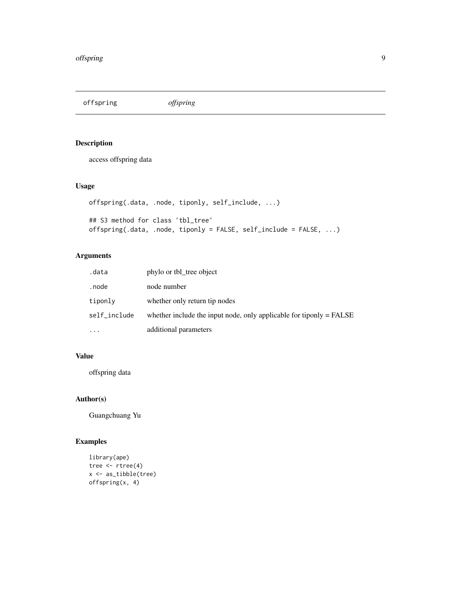<span id="page-8-0"></span>offspring *offspring*

# Description

access offspring data

# Usage

```
offspring(.data, .node, tiponly, self_include, ...)
## S3 method for class 'tbl_tree'
offspring(.data, .node, tiponly = FALSE, self_include = FALSE, ...)
```
#### Arguments

| .data        | phylo or tbl tree object                                              |
|--------------|-----------------------------------------------------------------------|
| . node       | node number                                                           |
| tiponly      | whether only return tip nodes                                         |
| self_include | whether include the input node, only applicable for tipsnly $=$ FALSE |
| $\cdots$     | additional parameters                                                 |

# Value

offspring data

#### Author(s)

Guangchuang Yu

#### Examples

```
library(ape)
tree <- rtree(4)
x <- as_tibble(tree)
offspring(x, 4)
```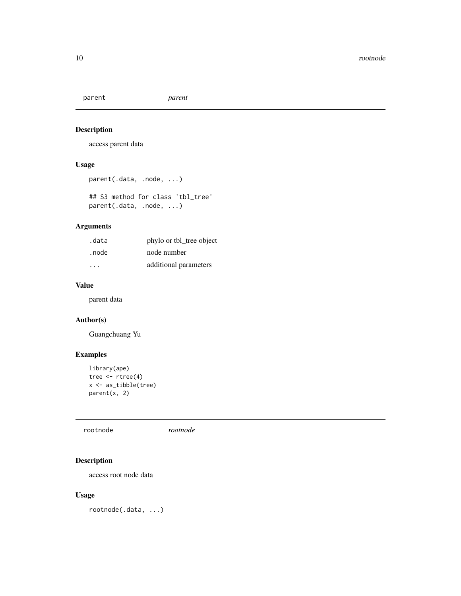<span id="page-9-0"></span>parent *parent*

#### Description

access parent data

#### Usage

```
parent(.data, .node, ...)
```
## S3 method for class 'tbl\_tree' parent(.data, .node, ...)

#### Arguments

| .data  | phylo or tbl_tree object |
|--------|--------------------------|
| . node | node number              |
| .      | additional parameters    |

# Value

parent data

#### Author(s)

Guangchuang Yu

# Examples

```
library(ape)
tree \leftarrow rtree(4)
x <- as_tibble(tree)
parent(x, 2)
```
rootnode *rootnode*

# Description

access root node data

#### Usage

rootnode(.data, ...)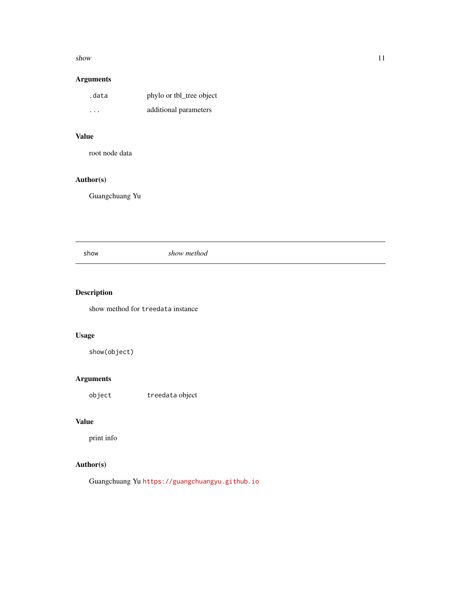#### <span id="page-10-0"></span> $s$ how  $11$

# Arguments

| .data | phylo or tbl_tree object |
|-------|--------------------------|
| .     | additional parameters    |

## Value

root node data

# Author(s)

Guangchuang Yu

show *show method*

# Description

show method for treedata instance

# Usage

show(object)

# Arguments

object treedata object

#### Value

print info

# Author(s)

Guangchuang Yu <https://guangchuangyu.github.io>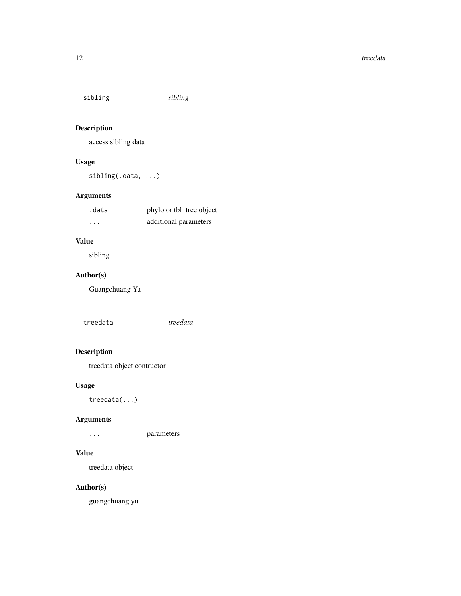<span id="page-11-0"></span>sibling *sibling*

#### Description

access sibling data

# Usage

sibling(.data, ...)

# Arguments

| .data                   | phylo or tbl_tree object |
|-------------------------|--------------------------|
| $\cdot$ $\cdot$ $\cdot$ | additional parameters    |

# Value

sibling

# Author(s)

Guangchuang Yu

| treedata | $\cdots$<br>гииш |  |  |
|----------|------------------|--|--|
|          |                  |  |  |

# Description

treedata object contructor

# Usage

treedata(...)

# Arguments

... parameters

### Value

treedata object

#### Author(s)

guangchuang yu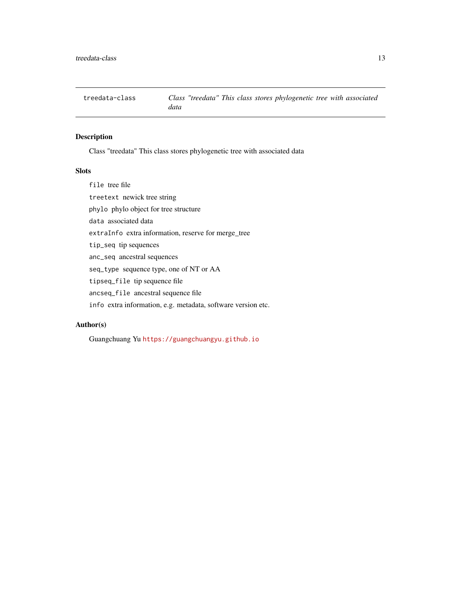<span id="page-12-0"></span>

#### Description

Class "treedata" This class stores phylogenetic tree with associated data

#### Slots

file tree file treetext newick tree string phylo phylo object for tree structure data associated data extraInfo extra information, reserve for merge\_tree tip\_seq tip sequences anc\_seq ancestral sequences seq\_type sequence type, one of NT or AA tipseq\_file tip sequence file ancseq\_file ancestral sequence file

info extra information, e.g. metadata, software version etc.

#### Author(s)

Guangchuang Yu <https://guangchuangyu.github.io>